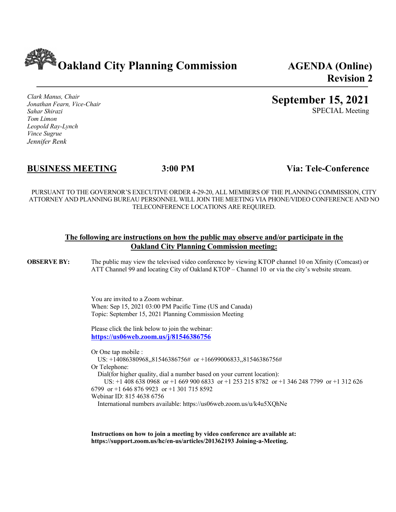**Oakland City Planning Commission AGENDA (Online)**

**Revision 2**

*Clark Manus, Chair Jonathan Fearn, Vice-Chair Sahar Shirazi Tom Limon Leopold Ray-Lynch Vince Sugrue Jennifer Renk*

# **September 15, 2021** SPECIAL Meeting

**BUSINESS MEETING 3:00 PM Via: Tele-Conference**

PURSUANT TO THE GOVERNOR'S EXECUTIVE ORDER 4-29-20, ALL MEMBERS OF THE PLANNING COMMISSION, CITY ATTORNEY AND PLANNING BUREAU PERSONNEL WILL JOIN THE MEETING VIA PHONE/VIDEO CONFERENCE AND NO TELECONFERENCE LOCATIONS ARE REQUIRED.

#### **The following are instructions on how the public may observe and/or participate in the Oakland City Planning Commission meeting:**

**OBSERVE BY:** The public may view the televised video conference by viewing KTOP channel 10 on Xfinity (Comcast) or ATT Channel 99 and locating City of Oakland KTOP – Channel 10 or via the city's website stream.

> You are invited to a Zoom webinar. When: Sep 15, 2021 03:00 PM Pacific Time (US and Canada) Topic: September 15, 2021 Planning Commission Meeting

Please click the link below to join the webinar: **https://us06web.zoom.us/j/81546386756**

Or One tap mobile : US: +14086380968,,81546386756# or +16699006833,,81546386756# Or Telephone: Dial(for higher quality, dial a number based on your current location): US: +1 408 638 0968 or +1 669 900 6833 or +1 253 215 8782 or +1 346 248 7799 or +1 312 626 6799 or +1 646 876 9923 or +1 301 715 8592 Webinar ID: 815 4638 6756

International numbers available: https://us06web.zoom.us/u/k4u5XQhNe

**Instructions on how to join a meeting by video conference are available at: https://support.zoom.us/hc/en-us/articles/201362193 Joining-a-Meeting.**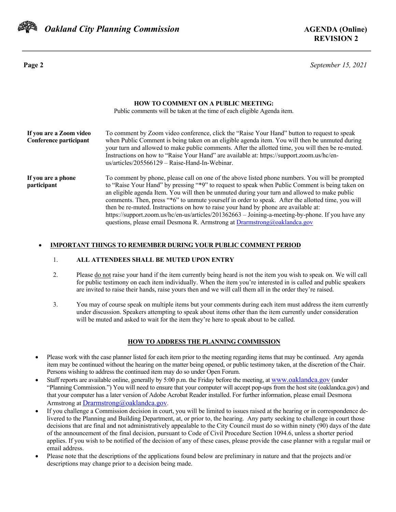

 *Oakland City Planning Commission* **AGENDA (Online)**

**Page 2** *September 15, 2021*

| <b>HOW TO COMMENT ON A PUBLIC MEETING:</b><br>Public comments will be taken at the time of each eligible Agenda item. |                                                                                                                                                                                                                                                                                                                                                                                                                                                                                                                                                                                                                                                                                        |  |
|-----------------------------------------------------------------------------------------------------------------------|----------------------------------------------------------------------------------------------------------------------------------------------------------------------------------------------------------------------------------------------------------------------------------------------------------------------------------------------------------------------------------------------------------------------------------------------------------------------------------------------------------------------------------------------------------------------------------------------------------------------------------------------------------------------------------------|--|
| If you are a Zoom video<br>Conference participant                                                                     | To comment by Zoom video conference, click the "Raise Your Hand" button to request to speak<br>when Public Comment is being taken on an eligible agenda item. You will then be unmuted during<br>your turn and allowed to make public comments. After the allotted time, you will then be re-muted.<br>Instructions on how to "Raise Your Hand" are available at: https://support.zoom.us/hc/en-<br>$us/articles/205566129 - Raise-Hand-In-Webinar.$                                                                                                                                                                                                                                   |  |
| If you are a phone<br>participant                                                                                     | To comment by phone, please call on one of the above listed phone numbers. You will be prompted<br>to "Raise Your Hand" by pressing "*9" to request to speak when Public Comment is being taken on<br>an eligible agenda Item. You will then be unmuted during your turn and allowed to make public<br>comments. Then, press "*6" to unmute yourself in order to speak. After the allotted time, you will<br>then be re-muted. Instructions on how to raise your hand by phone are available at:<br>https://support.zoom.us/hc/en-us/articles/201362663 - Joining-a-meeting-by-phone. If you have any<br>questions, please email Desmona R. Armstrong at $Dramstrong(a) oaklandca.gov$ |  |

#### • **IMPORTANT THINGS TO REMEMBER DURING YOUR PUBLIC COMMENT PERIOD**

#### 1. **ALL ATTENDEES SHALL BE MUTED UPON ENTRY**

- 2. Please do not raise your hand if the item currently being heard is not the item you wish to speak on. We will call for public testimony on each item individually. When the item you're interested in is called and public speakers are invited to raise their hands, raise yours then and we will call them all in the order they're raised.
- 3. You may of course speak on multiple items but your comments during each item must address the item currently under discussion. Speakers attempting to speak about items other than the item currently under consideration will be muted and asked to wait for the item they're here to speak about to be called.

#### **HOW TO ADDRESS THE PLANNING COMMISSION**

- Please work with the case planner listed for each item prior to the meeting regarding items that may be continued. Any agenda item may be continued without the hearing on the matter being opened, or public testimony taken, at the discretion of the Chair. Persons wishing to address the continued item may do so under Open Forum.
- Staff reports are available online, generally by 5:00 p.m. the Friday before the meeting, at www.oaklandca.gov (under "Planning Commission.") You will need to ensure that your computer will accept pop-ups from the host site (oaklandca.gov) and that your computer has a later version of Adobe Acrobat Reader installed. For further information, please email Desmona Armstrong at Drarmstrong@oaklandca.gov.
- If you challenge a Commission decision in court, you will be limited to issues raised at the hearing or in correspondence delivered to the Planning and Building Department, at, or prior to, the hearing. Any party seeking to challenge in court those decisions that are final and not administratively appealable to the City Council must do so within ninety (90) days of the date of the announcement of the final decision, pursuant to Code of Civil Procedure Section 1094.6, unless a shorter period applies. If you wish to be notified of the decision of any of these cases, please provide the case planner with a regular mail or email address.
- Please note that the descriptions of the applications found below are preliminary in nature and that the projects and/or descriptions may change prior to a decision being made.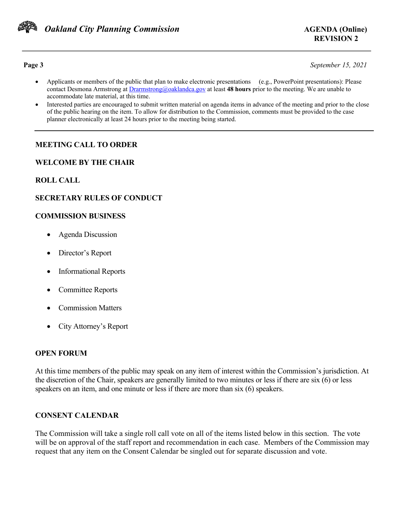

**Page 3** *September 15, 2021*

- Applicants or members of the public that plan to make electronic presentations (e.g., PowerPoint presentations): Please contact Desmona Armstrong at Drarmstrong@oaklandca.gov at least **48 hours** prior to the meeting. We are unable to accommodate late material, at this time.
- Interested parties are encouraged to submit written material on agenda items in advance of the meeting and prior to the close of the public hearing on the item. To allow for distribution to the Commission, comments must be provided to the case planner electronically at least 24 hours prior to the meeting being started.

# **MEETING CALL TO ORDER**

#### **WELCOME BY THE CHAIR**

## **ROLL CALL**

## **SECRETARY RULES OF CONDUCT**

#### **COMMISSION BUSINESS**

- Agenda Discussion
- Director's Report
- Informational Reports
- Committee Reports
- Commission Matters
- City Attorney's Report

#### **OPEN FORUM**

At this time members of the public may speak on any item of interest within the Commission's jurisdiction. At the discretion of the Chair, speakers are generally limited to two minutes or less if there are six (6) or less speakers on an item, and one minute or less if there are more than six (6) speakers.

## **CONSENT CALENDAR**

The Commission will take a single roll call vote on all of the items listed below in this section. The vote will be on approval of the staff report and recommendation in each case. Members of the Commission may request that any item on the Consent Calendar be singled out for separate discussion and vote.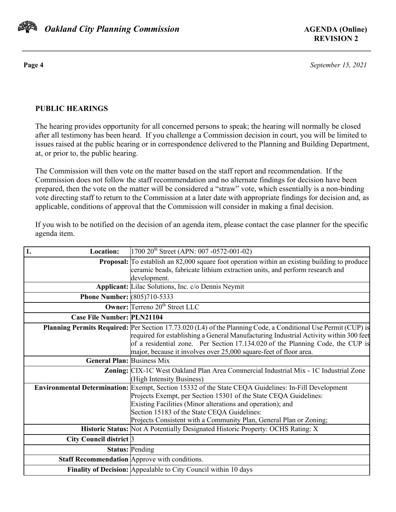

**Page 4** *September 15, 2021*

# **PUBLIC HEARINGS**

The hearing provides opportunity for all concerned persons to speak; the hearing will normally be closed after all testimony has been heard. If you challenge a Commission decision in court, you will be limited to issues raised at the public hearing or in correspondence delivered to the Planning and Building Department, at, or prior to, the public hearing.

The Commission will then vote on the matter based on the staff report and recommendation. If the Commission does not follow the staff recommendation and no alternate findings for decision have been prepared, then the vote on the matter will be considered a "straw" vote, which essentially is a non-binding vote directing staff to return to the Commission at a later date with appropriate findings for decision and, as applicable, conditions of approval that the Commission will consider in making a final decision.

If you wish to be notified on the decision of an agenda item, please contact the case planner for the specific agenda item.

| 1.<br><b>Location:</b>             | $1700 20$ <sup>th</sup> Street (APN: 007 -0572-001-02)                                                               |
|------------------------------------|----------------------------------------------------------------------------------------------------------------------|
|                                    | <b>Proposal:</b> To establish an 82,000 square foot operation within an existing building to produce                 |
|                                    | ceramic beads, fabricate lithium extraction units, and perform research and                                          |
|                                    | development.                                                                                                         |
|                                    | <b>Applicant:</b> Lilac Solutions, Inc. c/o Dennis Neymit                                                            |
| <b>Phone Number: (805)710-5333</b> |                                                                                                                      |
|                                    | <b>Owner:</b> Terreno 20 <sup>th</sup> Street LLC                                                                    |
| <b>Case File Number: PLN21104</b>  |                                                                                                                      |
|                                    | <b>Planning Permits Required:</b> Per Section 17.73.020 (L4) of the Planning Code, a Conditional Use Permit (CUP) is |
|                                    | required for establishing a General Manufacturing Industrial Activity within 300 feet                                |
|                                    | of a residential zone. Per Section 17.134.020 of the Planning Code, the CUP is                                       |
|                                    | major, because it involves over 25,000 square-feet of floor area.                                                    |
| <b>General Plan: Business Mix</b>  |                                                                                                                      |
|                                    | Zoning: CIX-1C West Oakland Plan Area Commercial Industrial Mix - 1C Industrial Zone                                 |
|                                    | (High Intensity Business)                                                                                            |
|                                    | Environmental Determination: Exempt, Section 15332 of the State CEQA Guidelines: In-Fill Development                 |
|                                    | Projects Exempt, per Section 15301 of the State CEQA Guidelines:                                                     |
|                                    | Existing Facilities (Minor alterations and operation); and                                                           |
|                                    | Section 15183 of the State CEQA Guidelines:                                                                          |
|                                    | Projects Consistent with a Community Plan, General Plan or Zoning;                                                   |
|                                    | Historic Status: Not A Potentially Designated Historic Property: OCHS Rating: X                                      |
| City Council district 3            |                                                                                                                      |
|                                    | <b>Status: Pending</b>                                                                                               |
|                                    | Staff Recommendation Approve with conditions.                                                                        |
|                                    | Finality of Decision: Appealable to City Council within 10 days                                                      |
|                                    |                                                                                                                      |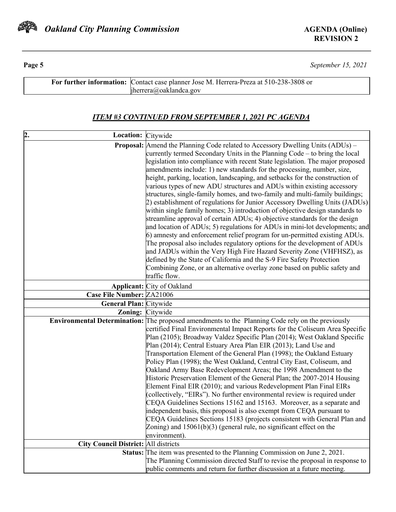

**Page 5** *September 15, 2021*

| For further information: Contact case planner Jose M. Herrera-Preza at 510-238-3808 or |  |
|----------------------------------------------------------------------------------------|--|
| $i$ herrera@oaklandca.gov                                                              |  |

# *ITEM #3 CONTINUED FROM SEPTEMBER 1, 2021 PC AGENDA*

| 2.<br>Location: Citywide                    |                                                                                                                                                        |
|---------------------------------------------|--------------------------------------------------------------------------------------------------------------------------------------------------------|
|                                             | Proposal: Amend the Planning Code related to Accessory Dwelling Units (ADUs) -                                                                         |
|                                             | currently termed Secondary Units in the Planning Code – to bring the local                                                                             |
|                                             | legislation into compliance with recent State legislation. The major proposed                                                                          |
|                                             | amendments include: 1) new standards for the processing, number, size,                                                                                 |
|                                             | height, parking, location, landscaping, and setbacks for the construction of                                                                           |
|                                             | various types of new ADU structures and ADUs within existing accessory                                                                                 |
|                                             | structures, single-family homes, and two-family and multi-family buildings;                                                                            |
|                                             | 2) establishment of regulations for Junior Accessory Dwelling Units (JADUs)                                                                            |
|                                             | within single family homes; 3) introduction of objective design standards to                                                                           |
|                                             | streamline approval of certain ADUs; 4) objective standards for the design                                                                             |
|                                             | and location of ADUs; 5) regulations for ADUs in mini-lot developments; and                                                                            |
|                                             | 6) amnesty and enforcement relief program for un-permitted existing ADUs.<br>The proposal also includes regulatory options for the development of ADUs |
|                                             | and JADUs within the Very High Fire Hazard Severity Zone (VHFHSZ), as                                                                                  |
|                                             | defined by the State of California and the S-9 Fire Safety Protection                                                                                  |
|                                             | Combining Zone, or an alternative overlay zone based on public safety and                                                                              |
|                                             | traffic flow.                                                                                                                                          |
|                                             | <b>Applicant:</b> City of Oakland                                                                                                                      |
| Case File Number: ZA21006                   |                                                                                                                                                        |
| General Plan: Citywide                      |                                                                                                                                                        |
| <b>Zoning:</b> Citywide                     |                                                                                                                                                        |
|                                             | <b>Environmental Determination:</b> The proposed amendments to the Planning Code rely on the previously                                                |
|                                             | certified Final Environmental Impact Reports for the Coliseum Area Specific                                                                            |
|                                             | Plan (2105); Broadway Valdez Specific Plan (2014); West Oakland Specific                                                                               |
|                                             | Plan (2014); Central Estuary Area Plan EIR (2013); Land Use and                                                                                        |
|                                             | Transportation Element of the General Plan (1998); the Oakland Estuary                                                                                 |
|                                             | Policy Plan (1998); the West Oakland, Central City East, Coliseum, and                                                                                 |
|                                             | Oakland Army Base Redevelopment Areas; the 1998 Amendment to the                                                                                       |
|                                             | Historic Preservation Element of the General Plan; the 2007-2014 Housing                                                                               |
|                                             | Element Final EIR (2010); and various Redevelopment Plan Final EIRs                                                                                    |
|                                             | (collectively, "EIRs"). No further environmental review is required under<br>CEQA Guidelines Sections 15162 and 15163. Moreover, as a separate and     |
|                                             | independent basis, this proposal is also exempt from CEQA pursuant to                                                                                  |
|                                             | CEQA Guidelines Sections 15183 (projects consistent with General Plan and                                                                              |
|                                             | Zoning) and $15061(b)(3)$ (general rule, no significant effect on the                                                                                  |
|                                             | environment).                                                                                                                                          |
| <b>City Council District: All districts</b> |                                                                                                                                                        |
|                                             | Status: The item was presented to the Planning Commission on June 2, 2021.                                                                             |
|                                             | The Planning Commission directed Staff to revise the proposal in response to                                                                           |
|                                             | public comments and return for further discussion at a future meeting.                                                                                 |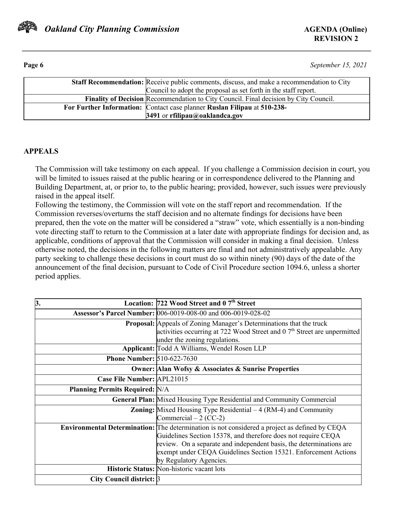

**Page 6** *September 15, 2021*

| <b>Staff Recommendation:</b> Receive public comments, discuss, and make a recommendation to City |
|--------------------------------------------------------------------------------------------------|
| Council to adopt the proposal as set forth in the staff report.                                  |
| <b>Finality of Decision Recommendation to City Council.</b> Final decision by City Council.      |
| For Further Information: Contact case planner Ruslan Filipau at 510-238-                         |
| 3491 or rfilipau@oaklandca.gov                                                                   |

## **APPEALS**

The Commission will take testimony on each appeal. If you challenge a Commission decision in court, you will be limited to issues raised at the public hearing or in correspondence delivered to the Planning and Building Department, at, or prior to, to the public hearing; provided, however, such issues were previously raised in the appeal itself.

Following the testimony, the Commission will vote on the staff report and recommendation. If the Commission reverses/overturns the staff decision and no alternate findings for decisions have been prepared, then the vote on the matter will be considered a "straw" vote, which essentially is a non-binding vote directing staff to return to the Commission at a later date with appropriate findings for decision and, as applicable, conditions of approval that the Commission will consider in making a final decision. Unless otherwise noted, the decisions in the following matters are final and not administratively appealable. Any party seeking to challenge these decisions in court must do so within ninety (90) days of the date of the announcement of the final decision, pursuant to Code of Civil Procedure section 1094.6, unless a shorter period applies.

| 3.                                    | Location: 722 Wood Street and 0 7 <sup>th</sup> Street                                                                                                                                                                                                                                                                              |
|---------------------------------------|-------------------------------------------------------------------------------------------------------------------------------------------------------------------------------------------------------------------------------------------------------------------------------------------------------------------------------------|
|                                       | Assessor's Parcel Number: 006-0019-008-00 and 006-0019-028-02                                                                                                                                                                                                                                                                       |
|                                       | <b>Proposal:</b> Appeals of Zoning Manager's Determinations that the truck<br>activities occurring at 722 Wood Street and 0 7 <sup>th</sup> Street are unpermitted<br>under the zoning regulations.                                                                                                                                 |
|                                       | Applicant: Todd A Williams, Wendel Rosen LLP                                                                                                                                                                                                                                                                                        |
| <b>Phone Number: 510-622-7630</b>     |                                                                                                                                                                                                                                                                                                                                     |
|                                       | <b>Owner: Alan Wofsy &amp; Associates &amp; Sunrise Properties</b>                                                                                                                                                                                                                                                                  |
| Case File Number: APL21015            |                                                                                                                                                                                                                                                                                                                                     |
| <b>Planning Permits Required: N/A</b> |                                                                                                                                                                                                                                                                                                                                     |
|                                       | <b>General Plan:</b> Mixed Housing Type Residential and Community Commercial                                                                                                                                                                                                                                                        |
|                                       | <b>Zoning:</b> Mixed Housing Type Residential $-4$ (RM-4) and Community<br>Commercial $-2$ (CC-2)                                                                                                                                                                                                                                   |
|                                       | Environmental Determination: The determination is not considered a project as defined by CEQA<br>Guidelines Section 15378, and therefore does not require CEQA<br>review. On a separate and independent basis, the determinations are<br>exempt under CEQA Guidelines Section 15321. Enforcement Actions<br>by Regulatory Agencies. |
|                                       | Historic Status: Non-historic vacant lots                                                                                                                                                                                                                                                                                           |
| City Council district: 3              |                                                                                                                                                                                                                                                                                                                                     |